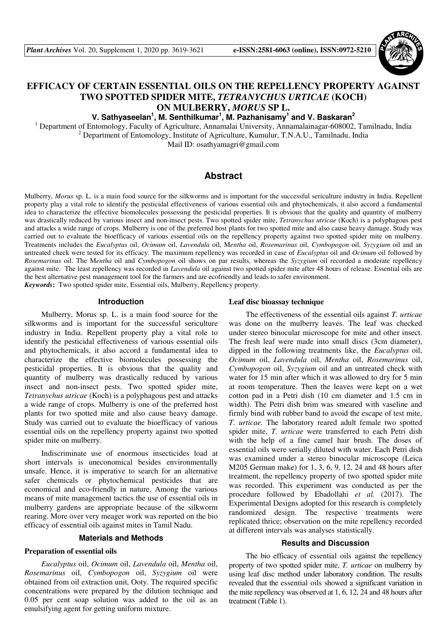

# **EFFICACY OF CERTAIN ESSENTIAL OILS ON THE REPELLENCY PROPERTY AGAINST TWO SPOTTED SPIDER MITE,** *TETRANYCHUS URTICAE* **(KOCH) ON MULBERRY,** *MORUS* **SP L.**

**V. Sathyaseelan<sup>1</sup> , M. Senthilkumar<sup>1</sup> , M. Pazhanisamy<sup>1</sup> and V. Baskaran<sup>2</sup>**

<sup>1</sup> Department of Entomology, Faculty of Agriculture, Annamalai University, Annamalainagar-608002, Tamilnadu, India <sup>2</sup> Department of Entomology, Institute of Agriculture, Kumulur, T.N.A.U., Tamilnadu, India

Mail ID: osathyamagri@gmail.com

# **Abstract**

Mulberry, *Morus* sp. L. is a main food source for the silkworms and is important for the successful sericulture industry in India. Repellent property play a vital role to identify the pesticidal effectiveness of various essential oils and phytochemicals, it also accord a fundamental idea to characterize the effective biomolecules possessing the pesticidal properties. It is obvious that the quality and quantity of mulberry was drastically reduced by various insect and non-insect pests. Two spotted spider mite, *Tetranychus utricae* (Koch) is a polyphagous pest and attacks a wide range of crops. Mulberry is one of the preferred host plants for two spotted mite and also cause heavy damage. Study was carried out to evaluate the bioefficacy of various essential oils on the repellency property against two spotted spider mite on mulberry. Treatments includes the *Eucalyptus* oil, *Ocimum* oil, *Lavendula* oil, M*entha* oil, *Rosemarinus* oil, *Cymbopogon* oil, *Syzygium* oil and an untreated check were tested for its efficacy. The maximum repellency was recorded in case of *Eucalyptus* oil and *Ocimum* oil followed by *Rosemarinus* oil. The M*entha* oil and *Cymbopogon* oil shows on par results, whereas the *Syzygium* oil recorded a moderate repellency against mite. The least repellency was recorded in *Lavendula* oil against two spotted spider mite after 48 hours of release. Essential oils are the best alternative pest management tool for the farmers and are ecofriendly and leads to safer environment. *Keywords***:** Two spotted spider mite, Essential oils, Mulberry, Repellency property.

#### **Introduction**

Mulberry, Morus sp. L. is a main food source for the silkworms and is important for the successful sericulture industry in India. Repellent property play a vital role to identify the pesticidal effectiveness of various essential oils and phytochemicals, it also accord a fundamental idea to characterize the effective biomolecules possessing the pesticidal properties. It is obvious that the quality and quantity of mulberry was drastically reduced by various insect and non-insect pests. Two spotted spider mite, *Tetranychus utricae* (Koch) is a polyphagous pest and attacks a wide range of crops. Mulberry is one of the preferred host plants for two spotted mite and also cause heavy damage. Study was carried out to evaluate the bioefficacy of various essential oils on the repellency property against two spotted spider mite on mulberry.

Indiscriminate use of enormous insecticides load at short intervals is uneconomical besides environmentally unsafe. Hence, it is imperative to search for an alternative safer chemicals or phytochemical pesticides that are economical and eco-friendly in nature. Among the various means of mite management tactics the use of essential oils in mulberry gardens are appropriate because of the silkworm rearing. More over very meager work was reported on the bio efficacy of essential oils against mites in Tamil Nadu.

## **Materials and Methods**

#### **Preparation of essential oils**

*Eucalyptus* oil, *Ocimum* oil, *Lavendula* oil, *Mentha* oil, *Rosemarinus* oil, *Cymbopogon* oil, *Syzygium* oil were obtained from oil extraction unit, Ooty. The required specific concentrations were prepared by the dilution technique and 0.05 per cent soap solution was added to the oil as an emulsifying agent for getting uniform mixture.

#### **Leaf disc bioassay technique**

The effectiveness of the essential oils against *T. urticae* was done on the mulberry leaves. The leaf was checked under stereo binocular microscope for mite and other insect. The fresh leaf were made into small discs (3cm diameter), dipped in the following treatments like, the *Eucalyptus* oil, *Ocimum* oil, *Lavendula* oil, *Mentha* oil, *Rosemarinus* oil, *Cymbopogon* oil, *Syzygium* oil and an untreated check with water for 15 min after which it was allowed to dry for 5 min at room temperature. Then the leaves were kept on a wet cotton pad in a Petri dish (10 cm diameter and 1.5 cm in width). The Petri dish brim was smeared with vaseline and firmly bind with rubber band to avoid the escape of test mite, *T. urticae.* The laboratory reared adult female two spotted spider mite, *T. urticae* were transferred to each Petri dish with the help of a fine camel hair brush. The doses of essential oils were serially diluted with water. Each Petri dish was examined under a stereo binocular microscope (Leica M205 German make) for 1, 3, 6, 9, 12, 24 and 48 hours after treatment, the repellency property of two spotted spider mite was recorded. This experiment was conducted as per the procedure followed by Ebadollahi *et al.* (2017). The Experimental Designs adopted for this research is completely randomized design. The respective treatments were replicated thrice; observation on the mite repellency recorded at different intervals was analyses statistically.

#### **Results and Discussion**

The bio efficacy of essential oils against the repellency property of two spotted spider mite, *T. urticae* on mulberry by using leaf disc method under laboratory condition. The results revealed that the essential oils showed a significant variation in the mite repellency was observed at 1, 6, 12, 24 and 48 hours after treatment (Table 1).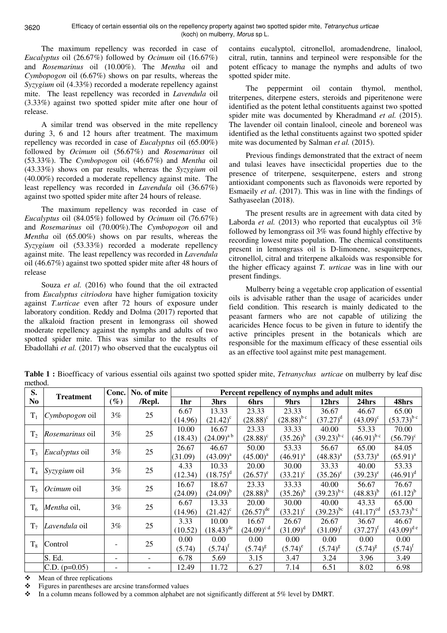3620

The maximum repellency was recorded in case of *Eucalyptus* oil (26.67%) followed by *Ocimum* oil (16.67%) and *Rosemarinus* oil (10.00%). The *Mentha* oil and *Cymbopogon* oil (6.67%) shows on par results, whereas the *Syzygium* oil (4.33%) recorded a moderate repellency against mite. The least repellency was recorded in *Lavendula* oil (3.33%) against two spotted spider mite after one hour of release.

A similar trend was observed in the mite repellency during 3, 6 and 12 hours after treatment. The maximum repellency was recorded in case of *Eucalyptus* oil (65.00%) followed by *Ocimum* oil (56.67%) and *Rosemarinus* oil (53.33%). The *Cymbopogon* oil (46.67%) and *Mentha* oil (43.33%) shows on par results, whereas the *Syzygium* oil (40.00%) recorded a moderate repellency against mite. The least repellency was recorded in *Lavendula* oil (36.67%) against two spotted spider mite after 24 hours of release.

The maximum repellency was recorded in case of *Eucalyptus* oil (84.05%) followed by *Ocimum* oil (76.67%) and *Rosemarinus* oil (70.00%).The *Cymbopogon* oil and *Mentha* oil (65.00%) shows on par results, whereas the *Syzygium* oil (53.33%) recorded a moderate repellency against mite. The least repellency was recorded in *Lavendula* oil (46.67%) against two spotted spider mite after 48 hours of release

Souza *et al.* (2016) who found that the oil extracted from *Eucalyptus citriodora* have higher fumigation toxicity against *T.urticae* even after 72 hours of exposure under laboratory condition. Reddy and Dolma (2017) reported that the alkaloid fraction present in lemongrass oil showed moderate repellency against the nymphs and adults of two spotted spider mite. This was similar to the results of Ebadollahi *et al.* (2017) who observed that the eucalyptus oil

contains eucalyptol, citronellol, aromadendrene, linalool, citral, rutin, tannins and terpineol were responsible for the potent efficacy to manage the nymphs and adults of two spotted spider mite.

The peppermint oil contain thymol, menthol, triterpenes, diterpene esters, steroids and piperitenone were identified as the potent lethal constituents against two spotted spider mite was documented by Kheradmand *et al.* (2015). The lavender oil contain linalool, cineole and boreneol was identified as the lethal constituents against two spotted spider mite was documented by Salman *et al.* (2015).

Previous findings demonstrated that the extract of neem and tulasi leaves have insecticidal properties due to the presence of triterpene, sesquiterpene, esters and strong antioxidant components such as flavonoids were reported by Esmaeily *et al*. (2017). This was in line with the findings of Sathyaseelan (2018).

The present results are in agreement with data cited by Laborda *et al.* (2013) who reported that eucalyptus oil 3% followed by lemongrass oil 3% was found highly effective by recording lowest mite population. The chemical constituents present in lemongrass oil is D-limonene, sesquiterpenes, citronellol, citral and triterpene alkaloids was responsible for the higher efficacy against *T. urticae* was in line with our present findings.

Mulberry being a vegetable crop application of essential oils is advisable rather than the usage of acaricides under field condition. This research is mainly dedicated to the peasant farmers who are not capable of utilizing the acaricides Hence focus to be given in future to identify the active principles present in the botanicals which are responsible for the maximum efficacy of these essential oils as an effective tool against mite pest management.

**Table 1 :** Bioefficacy of various essential oils against two spotted spider mite, *Tetranychus urticae* on mulberry by leaf disc method.

| S.             | <b>Treatment</b>       | Conc.<br>$(\%)$          | No. of mite<br>/Repl. | Percent repellency of nymphs and adult mites |                   |                         |                 |                 |                   |                 |
|----------------|------------------------|--------------------------|-----------------------|----------------------------------------------|-------------------|-------------------------|-----------------|-----------------|-------------------|-----------------|
| N <sub>0</sub> |                        |                          |                       | 1hr                                          | 3hrs              | 6hrs                    | 9hrs            | 12hrs           | 24hrs             | 48hrs           |
| $T_1$          | <i>Cymbopogon</i> oil  | 3%                       | 25                    | 6.67                                         | 13.33             | 23.33                   | 23.33           | 36.67           | 46.67             | 65.00           |
|                |                        |                          |                       | (14.96)                                      | $(21.42)^{\circ}$ | $(28.88)^{\circ}$       | $(28.88)^{b c}$ | $(37.27)^d$     | $(43.09)^{\circ}$ | $(53.73)^{bc}$  |
| T <sub>2</sub> | <i>Rosemarinus</i> oil | 3%                       | 25                    | 10.00                                        | 16.67             | 23.33                   | 33.33           | 40.00           | 53.33             | 70.00           |
|                |                        |                          |                       | (18.43)                                      | $(24.09)^{a}$     | $(28.88)^{\circ}$       | $(35.26)^b$     | $(39.23)^{b c}$ | $(46.91)^{b c}$   | $(56.79)^c$     |
| T <sub>3</sub> | <i>Eucalyptus</i> oil  | $3\%$                    | 25                    | 26.67                                        | 46.67             | 50.00                   | 53.33           | 56.67           | 65.00             | 84.05           |
|                |                        |                          |                       | (31.09)                                      | $(43.09)^{a}$     | $(45.00)^{a}$           | $(46.91)^{a}$   | $(48.83)^{a}$   | $(53.73)^{a}$     | $(65.91)^{a}$   |
| $T_4$          | Syzygium oil           | 3%                       | 25                    | 4.33                                         | 10.33             | 20.00                   | 30.00           | 33.33           | 40.00             | 53.33           |
|                |                        |                          |                       | (12.34)                                      | $(18.75)^d$       | $(26.57)^e$             | $(33.21)^c$     | $(35.26)^e$     | $(39.23)^e$       | $(46.91)^d$     |
| $T_5$          | <i>Ocimum</i> oil      | $3\%$                    | 25                    | 16.67                                        | 18.67             | 23.33                   | 33.33           | 40.00           | 56.67             | 76.67           |
|                |                        |                          |                       | (24.09)                                      | $(24.09)^{b}$     | $(28.88)^{b}$           | $(35.26)^b$     | $(39.23)^{b c}$ | $(48.83)^{b}$     | $(61.12)^{b}$   |
| $T_6$          | Mentha oil,            | 3%                       | 25                    | 6.67                                         | 13.33             | 20.00                   | 30.00           | 40.00           | 43.33             | 65.00           |
|                |                        |                          |                       | (14.96)                                      | $(21.42)^c$       | $(26.57)$ <sup>de</sup> | $(33.21)^c$     | $(39.23)^{bc}$  | $(41.17)^{cd}$    | $(53.73)^{bc}$  |
| T <sub>7</sub> | Lavendula oil          | 3%                       | 25                    | 3.33                                         | 10.00             | 16.67                   | 26.67           | 26.67           | 36.67             | 46.67           |
|                |                        |                          |                       | (10.52)                                      | $(18.43)^{de}$    | $(24.09)^{c d}$         | $(31.09)^d$     | $(31.09)^{f}$   | $(37.27)^{f}$     | $(43.09)^{d e}$ |
| $T_8$          | Control                |                          | 25                    | 0.00                                         | 0.00              | 0.00                    | 0.00            | 0.00            | 0.00              | 0.00            |
|                |                        |                          |                       | (5.74)                                       | $(5.74)^t$        | $(5.74)^{g}$            | $(5.74)^e$      | $(5.74)^{g}$    | $(5.74)^{g}$      | $(5.74)^t$      |
|                | S. Ed.                 | $\overline{\phantom{0}}$ |                       | 6.78                                         | 5.69              | 3.15                    | 3.47            | 3.24            | 3.96              | 3.49            |
|                | C.D. $(p=0.05)$        |                          | -                     | 12.49                                        | 11.72             | 6.27                    | 7.14            | 6.51            | 8.02              | 6.98            |

Mean of three replications

Figures in parentheses are arcsine transformed values

 $\bullet$  In a column means followed by a common alphabet are not significantly different at 5% level by DMRT.